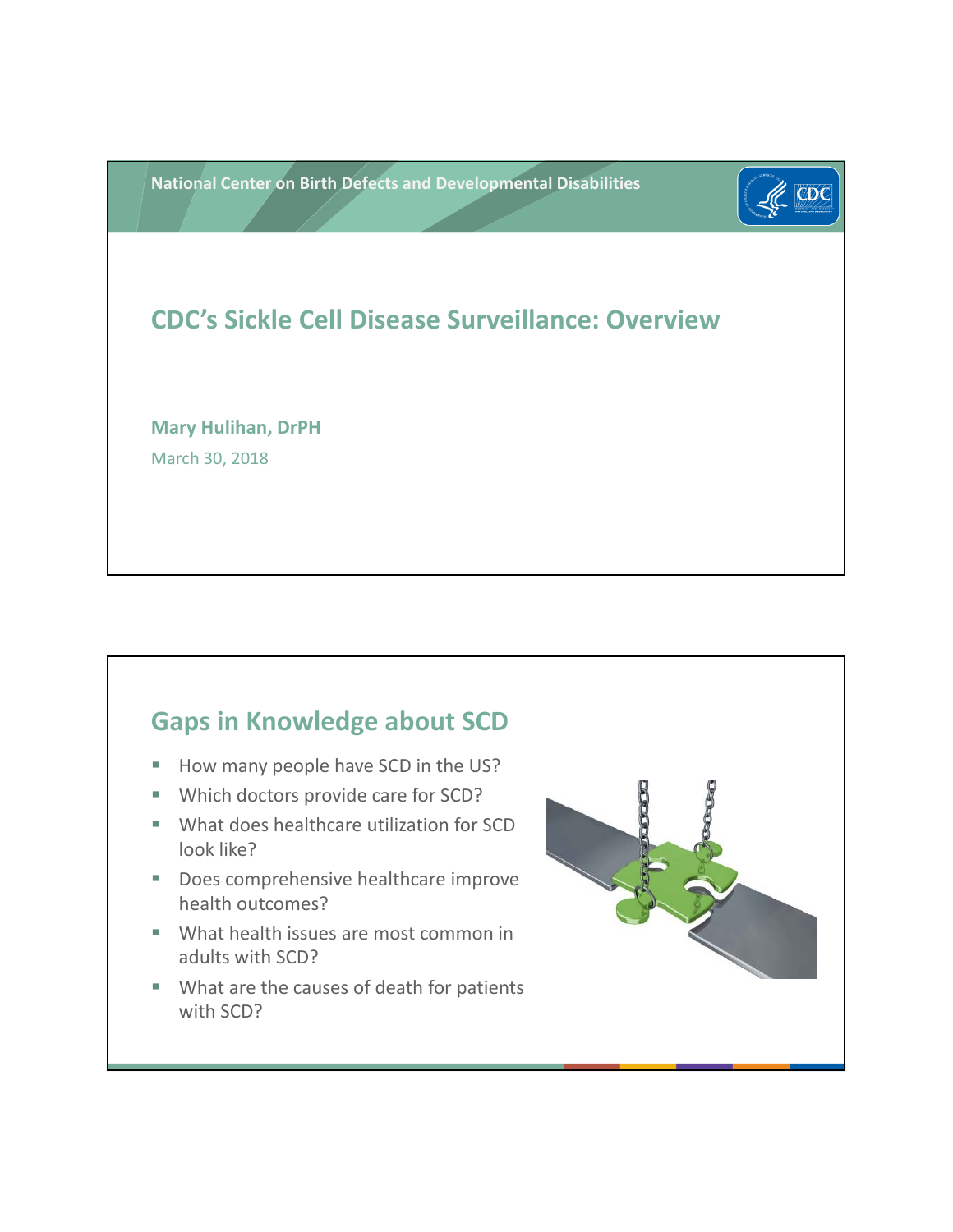**National Center on Birth Defects and Developmental Disabilities**



# **CDC's Sickle Cell Disease Surveillance: Overview**

**Mary Hulihan, DrPH** March 30, 2018

#### **Gaps in Knowledge about SCD**

- How many people have SCD in the US?
- Which doctors provide care for SCD?
- **What does healthcare utilization for SCD** look like?
- Does comprehensive healthcare improve health outcomes?
- What health issues are most common in adults with SCD?
- What are the causes of death for patients with SCD?

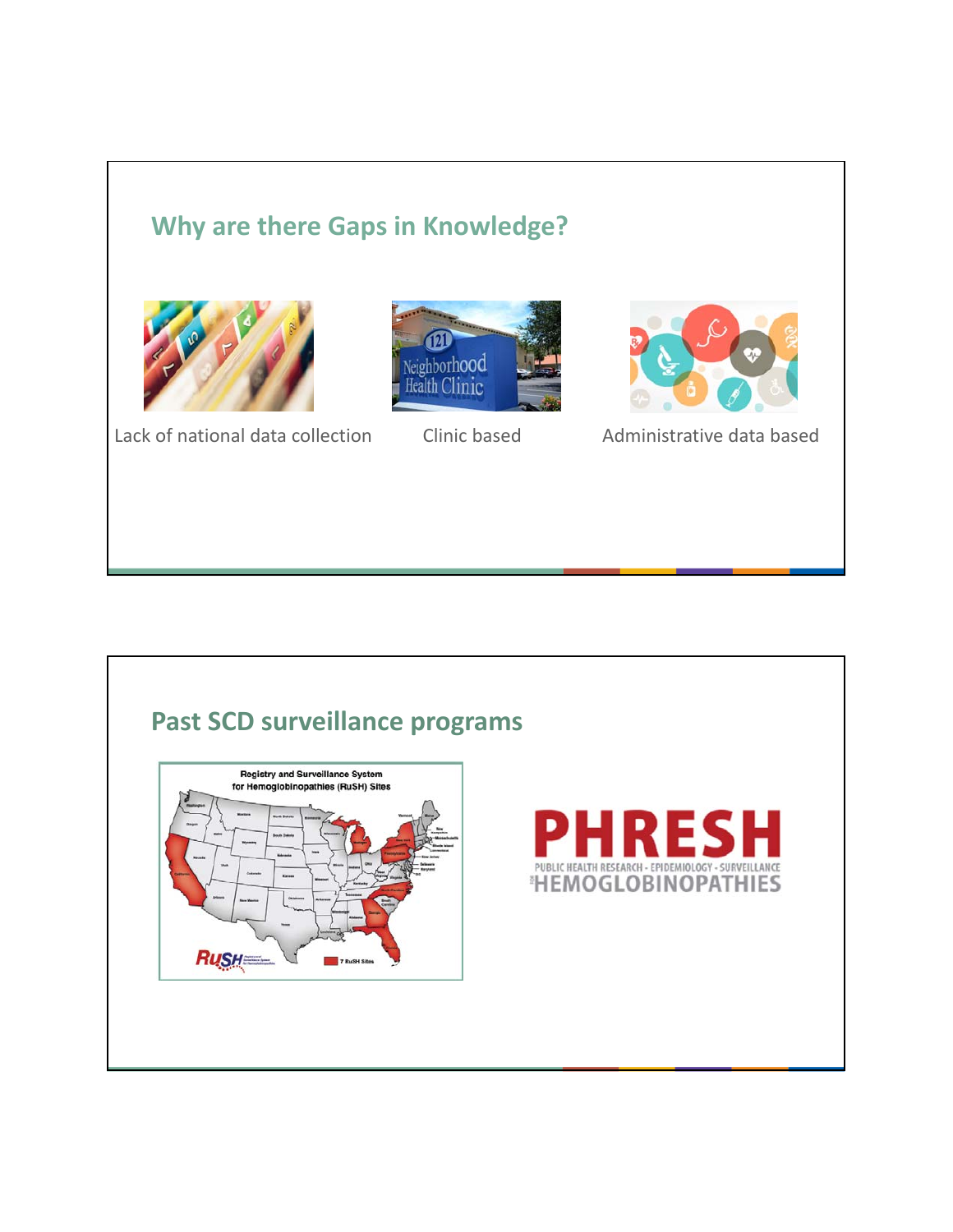## **Why are there Gaps in Knowledge?**







Lack of national data collection Clinic based Administrative data based

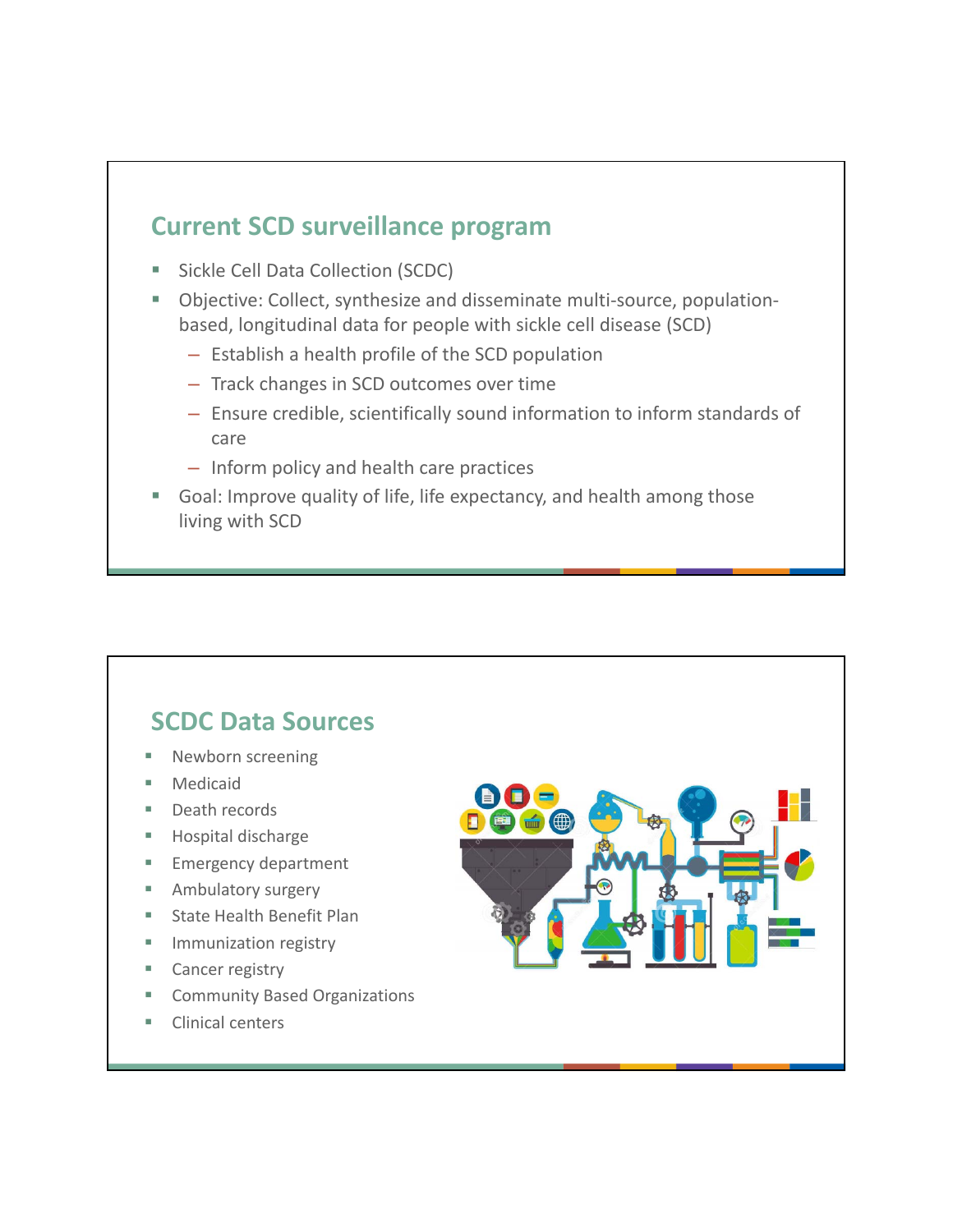#### **Current SCD surveillance program**

- Sickle Cell Data Collection (SCDC)
- Objective: Collect, synthesize and disseminate multi-source, populationbased, longitudinal data for people with sickle cell disease (SCD)
	- $-$  Establish a health profile of the SCD population
	- Track changes in SCD outcomes over time
	- Ensure credible, scientifically sound information to inform standards of care
	- Inform policy and health care practices
- Goal: Improve quality of life, life expectancy, and health among those living with SCD

#### **SCDC Data Sources**

- Newborn screening
- Medicaid
- Death records
- **Hospital discharge**
- **Emergency department**
- **Ambulatory surgery**
- **State Health Benefit Plan**
- **Immunization registry**
- Cancer registry
- **EXECOMMUNITY Based Organizations**
- Clinical centers

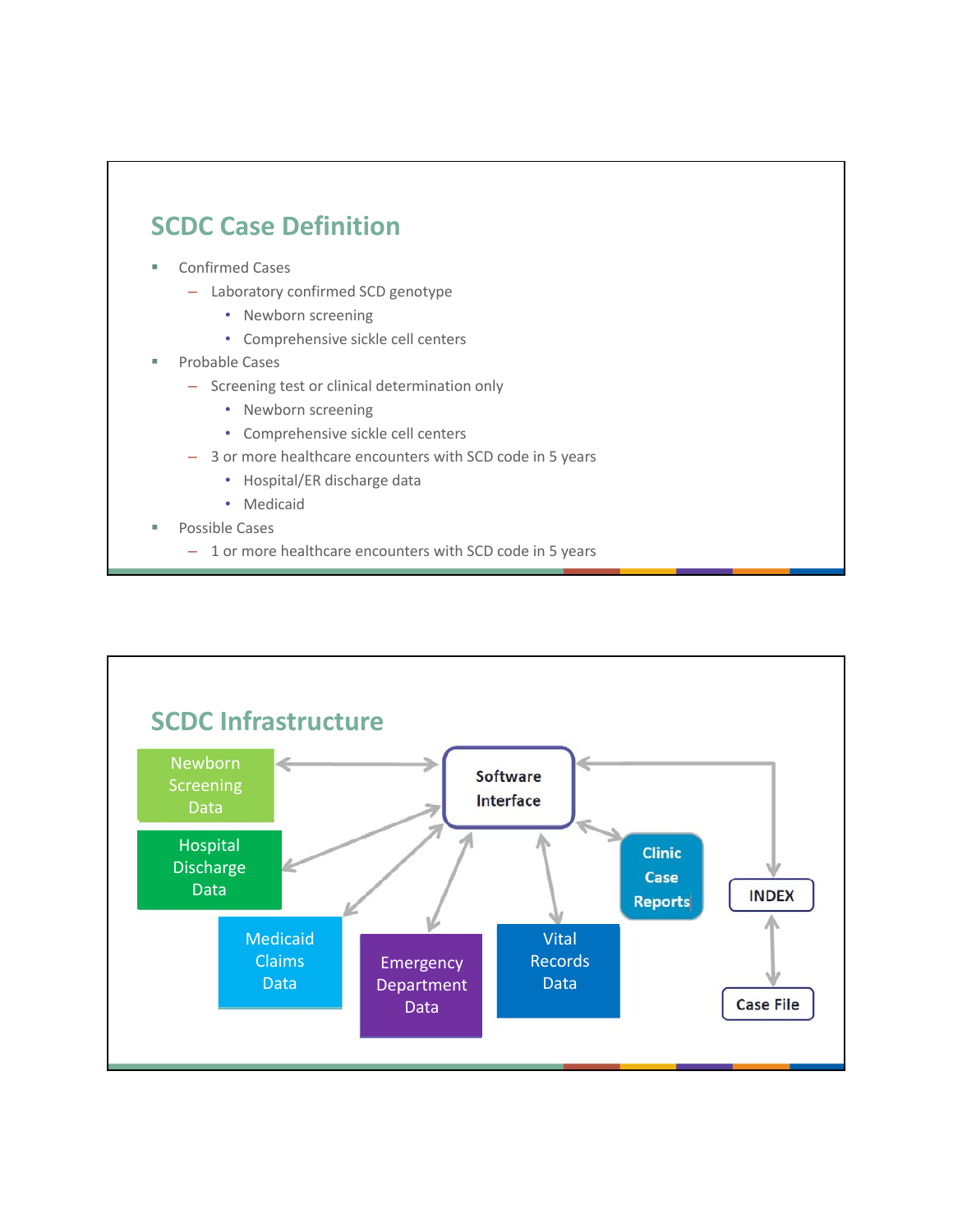## **SCDC Case Definition**

- Confirmed Cases
	- Laboratory confirmed SCD genotype
		- Newborn screening
		- Comprehensive sickle cell centers
- Probable Cases
	- Screening test or clinical determination only
		- Newborn screening
		- Comprehensive sickle cell centers
	- 3 or more healthcare encounters with SCD code in 5 years
		- Hospital/ER discharge data
		- Medicaid
- Possible Cases
	- 1 or more healthcare encounters with SCD code in 5 years

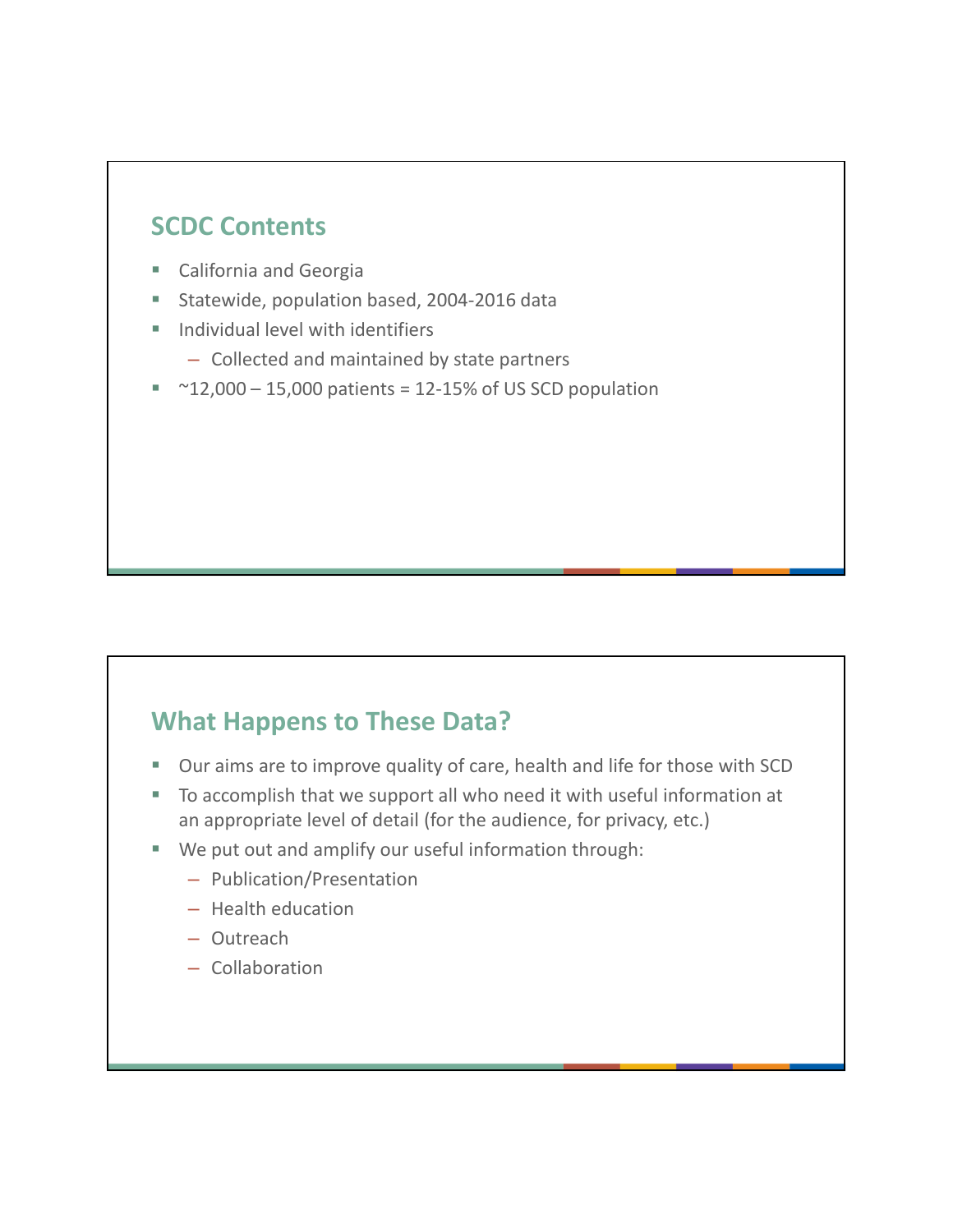#### **SCDC Contents**

- California and Georgia
- Statewide, population based, 2004-2016 data
- $\blacksquare$  Individual level with identifiers
	- Collected and maintained by state partners
- $~\sim$  12,000 15,000 patients = 12-15% of US SCD population

#### **What Happens to These Data?**

- **Duraims are to improve quality of care, health and life for those with SCD**
- To accomplish that we support all who need it with useful information at an appropriate level of detail (for the audience, for privacy, etc.)
- We put out and amplify our useful information through:
	- – Publication/Presentation
	- – Health education
	- – Outreach
	- – Collaboration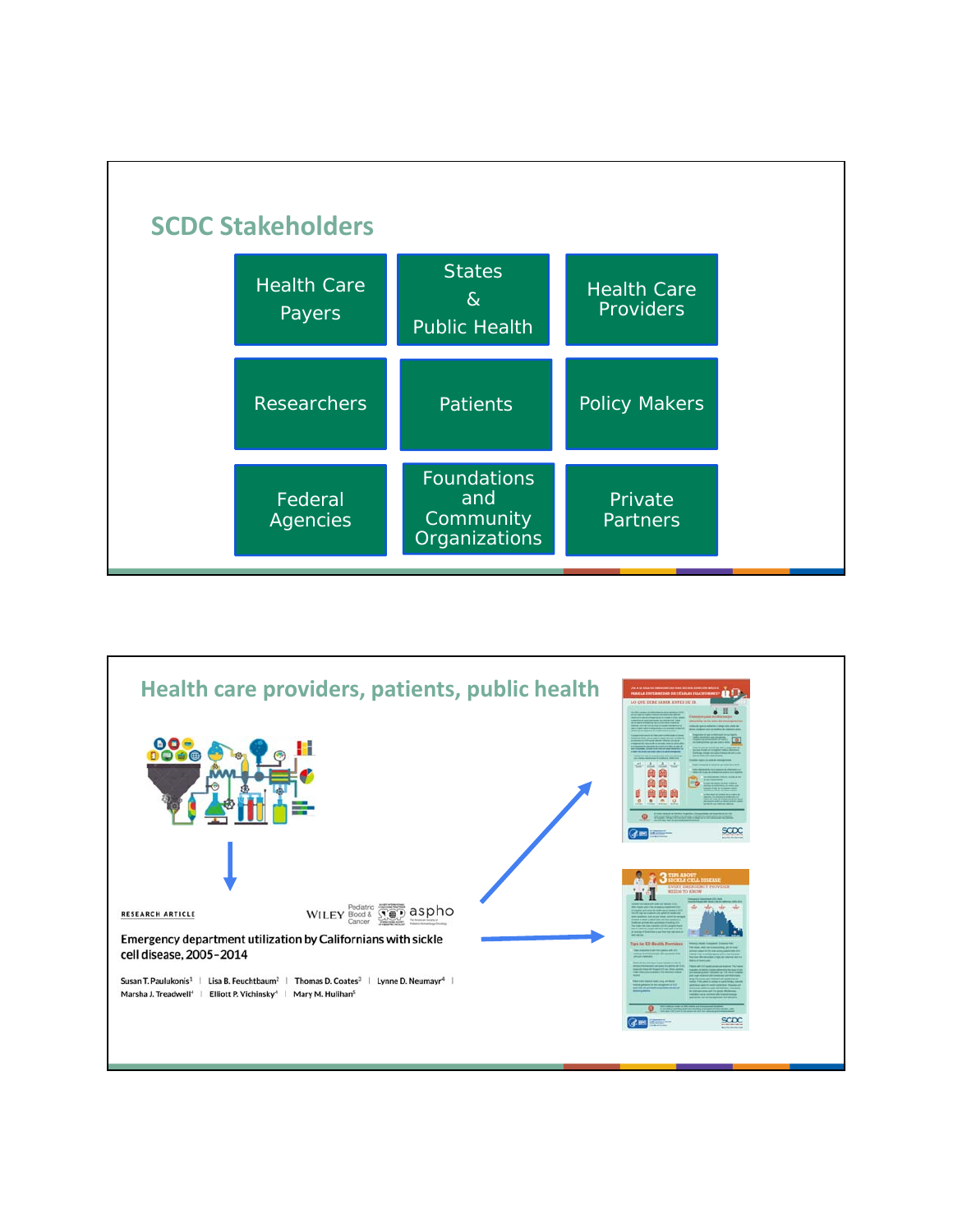

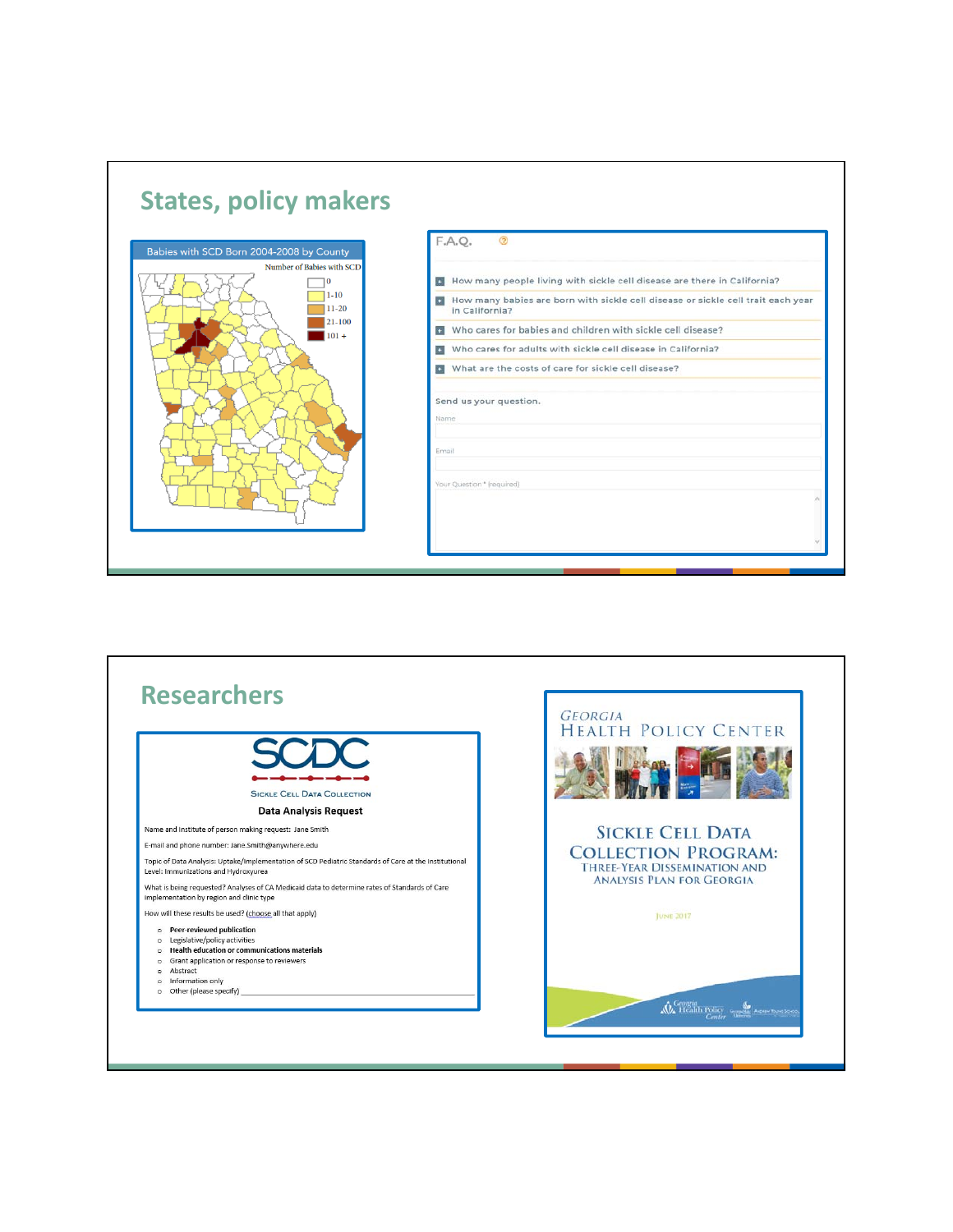

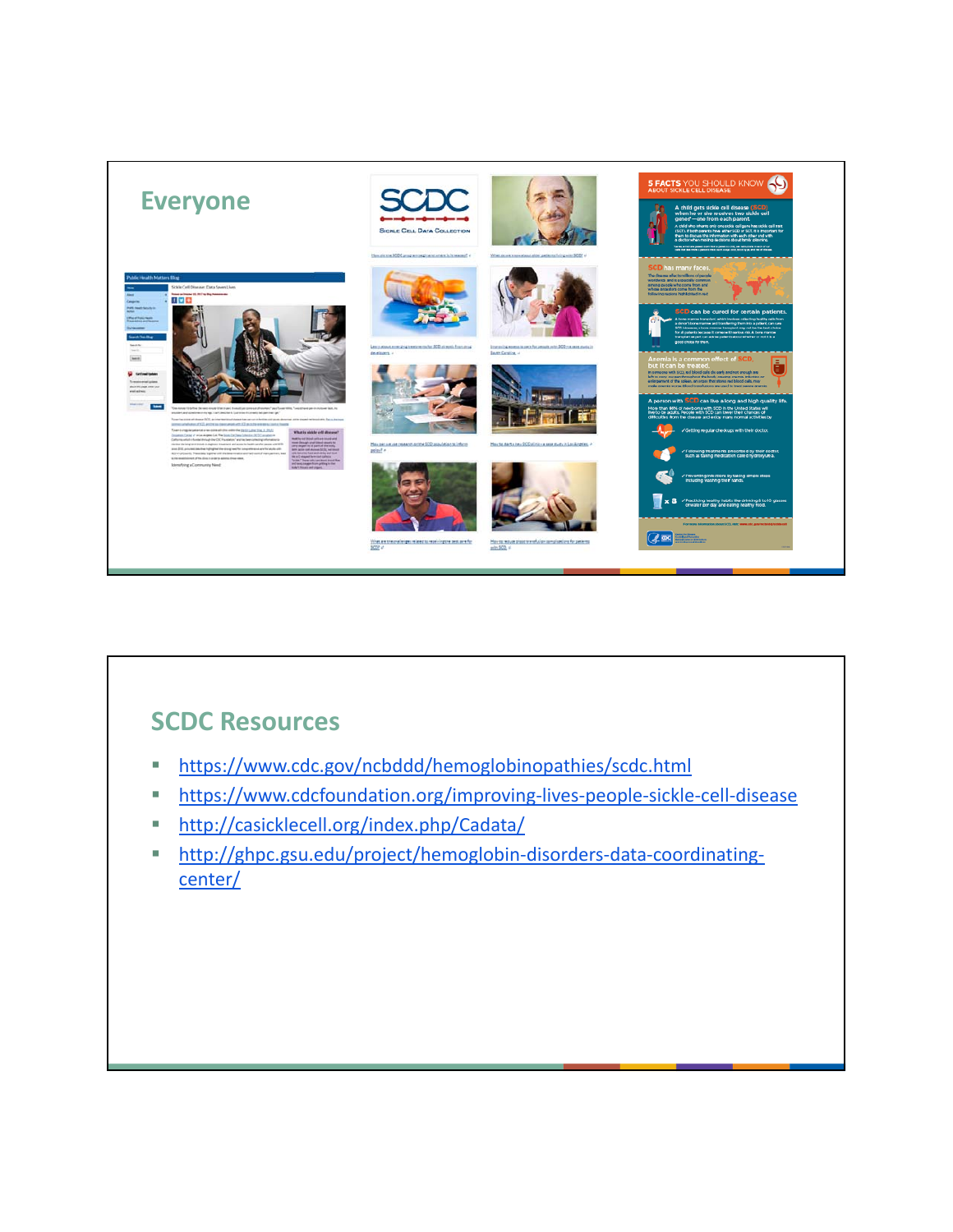

#### **SCDC Resources**

- https://www.cdc.gov/ncbddd/hemoglobinopathies/scdc.html
- https://www.cdcfoundation.org/improving-lives-people-sickle-cell-disease
- http://casicklecell.org/index.php/Cadata/
- http://ghpc.gsu.edu/project/hemoglobin-disorders-data-coordinatingcenter/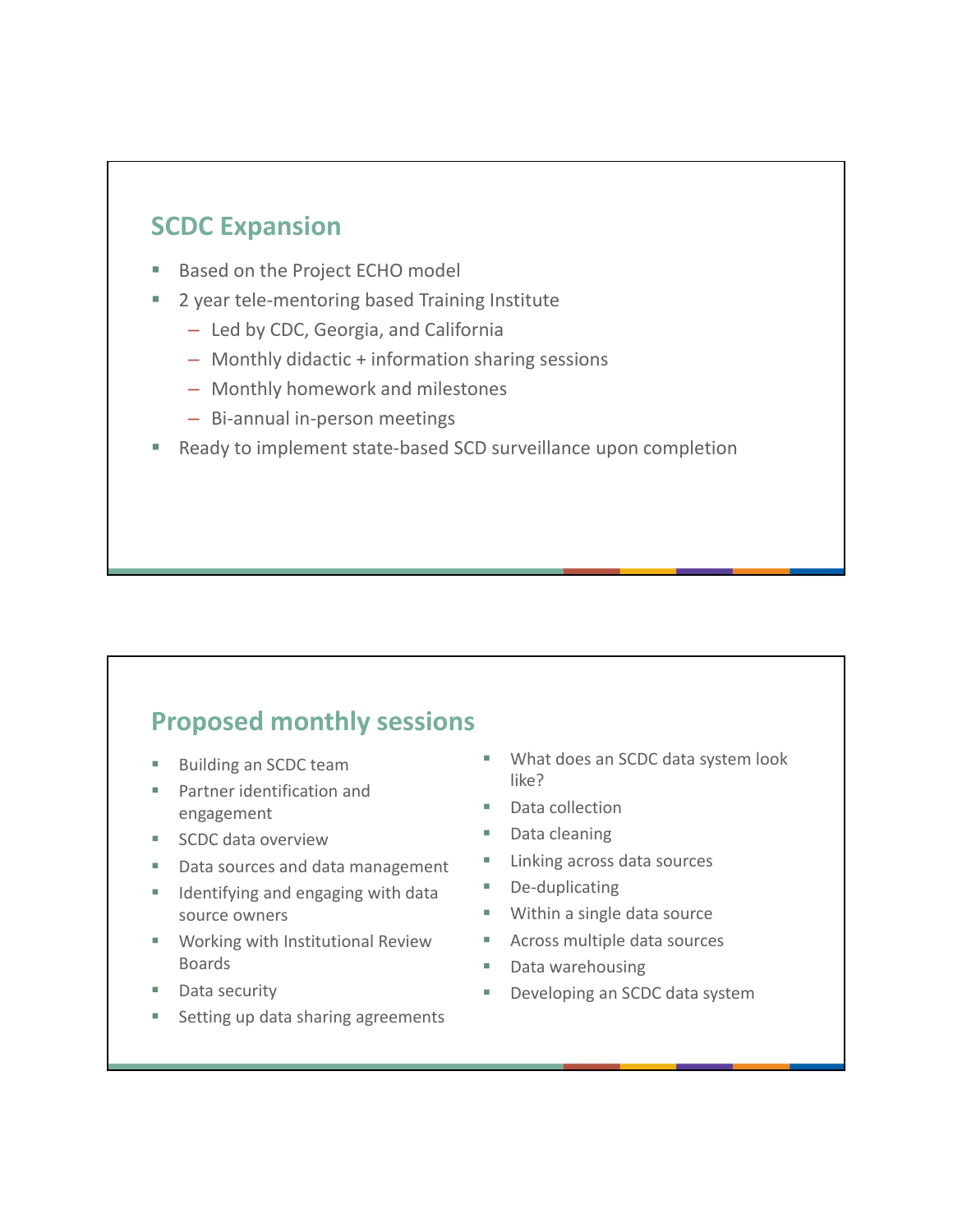#### **SCDC Expansion**

- **Based on the Project ECHO model**
- 2 year tele‐mentoring based Training Institute
	- Led by CDC, Georgia, and California
	- – Monthly didactic + information sharing sessions
	- Monthly homework and milestones
	- – Bi‐annual in‐person meetings
- Ready to implement state-based SCD surveillance upon completion

#### **Proposed monthly sessions**

- 
- **Partner identification and** engagement Data collection
- SCDC data overview Data cleaning
- Data sources and data management Linking across data sources
- Identifying and engaging with data De-duplicating source owners **Within a single data source**
- Working with Institutional Review Across multiple data sources Boards **Data warehousing** Data warehousing
- 
- **Setting up data sharing agreements**
- Building an SCDC team What does an SCDC data system look like?
	-
	-
	-
	-
	-
	-
	-
- Data security **Developing an SCDC** data system